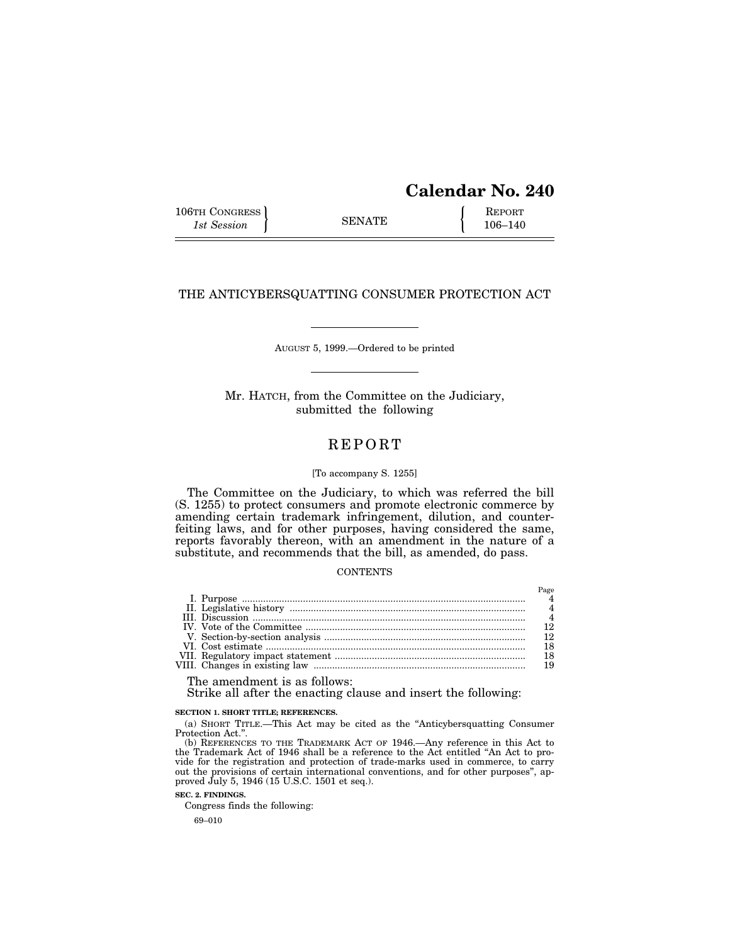# **Calendar No. 240**

| 106TH CONGRESS |               | <b>REPORT</b> |
|----------------|---------------|---------------|
| 1st Session    | <b>SENATE</b> | 106-140       |

## THE ANTICYBERSQUATTING CONSUMER PROTECTION ACT

AUGUST 5, 1999.—Ordered to be printed

Mr. HATCH, from the Committee on the Judiciary, submitted the following

# REPORT

### [To accompany S. 1255]

The Committee on the Judiciary, to which was referred the bill (S. 1255) to protect consumers and promote electronic commerce by amending certain trademark infringement, dilution, and counterfeiting laws, and for other purposes, having considered the same, reports favorably thereon, with an amendment in the nature of a substitute, and recommends that the bill, as amended, do pass.

### **CONTENTS**

|  | 12 |
|--|----|
|  |    |
|  |    |
|  |    |
|  |    |
|  |    |

The amendment is as follows: Strike all after the enacting clause and insert the following:

#### **SECTION 1. SHORT TITLE; REFERENCES.**

(a) SHORT TITLE.—This Act may be cited as the ''Anticybersquatting Consumer Protection Act.".

(b) REFERENCES TO THE TRADEMARK ACT OF 1946.—Any reference in this Act to the Trademark Act of 1946 shall be a reference to the Act entitled ''An Act to provide for the registration and protection of trade-marks used in commerce, to carry out the provisions of certain international conventions, and for other purposes'', approved July 5, 1946 (15 U.S.C. 1501 et seq.).

## **SEC. 2. FINDINGS.**

Congress finds the following:

69–010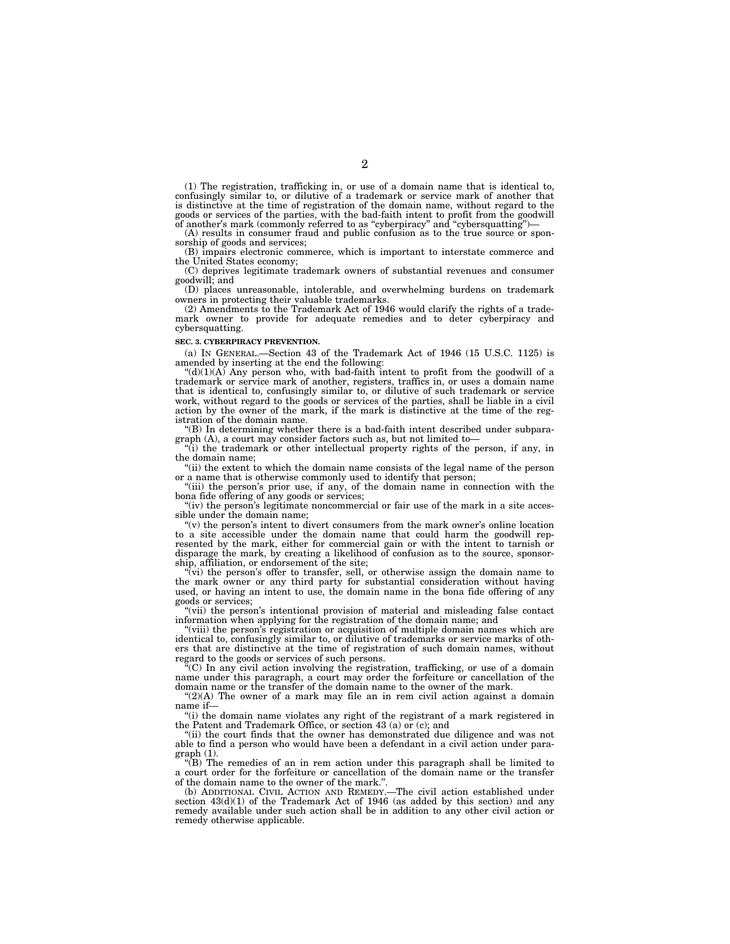(1) The registration, trafficking in, or use of a domain name that is identical to, confusingly similar to, or dilutive of a trademark or service mark of another that is distinctive at the time of registration of the domain name, without regard to the goods or services of the parties, with the bad-faith intent to profit from the goodwill of another's mark (commonly referred to as ''cyberpiracy'' and ''cybersquatting'')—

(A) results in consumer fraud and public confusion as to the true source or sponsorship of goods and services;

(B) impairs electronic commerce, which is important to interstate commerce and the United States economy;

(C) deprives legitimate trademark owners of substantial revenues and consumer goodwill; and

(D) places unreasonable, intolerable, and overwhelming burdens on trademark owners in protecting their valuable trademarks.

(2) Amendments to the Trademark Act of 1946 would clarify the rights of a trademark owner to provide for adequate remedies and to deter cyberpiracy and cybersquatting.

#### **SEC. 3. CYBERPIRACY PREVENTION.**

(a) IN GENERAL.—Section 43 of the Trademark Act of 1946 (15 U.S.C. 1125) is amended by inserting at the end the following:

 $\mathcal{H}(d)(1)(A)$  Any person who, with bad-faith intent to profit from the goodwill of a trademark or service mark of another, registers, traffics in, or uses a domain name that is identical to, confusingly similar to, or dilutive of such trademark or service work, without regard to the goods or services of the parties, shall be liable in a civil action by the owner of the mark, if the mark is distinctive at the time of the registration of the domain name.

''(B) In determining whether there is a bad-faith intent described under subparagraph (A), a court may consider factors such as, but not limited to—

''(i) the trademark or other intellectual property rights of the person, if any, in the domain name;

''(ii) the extent to which the domain name consists of the legal name of the person or a name that is otherwise commonly used to identify that person;

''(iii) the person's prior use, if any, of the domain name in connection with the bona fide offering of any goods or services;

"(iv) the person's legitimate noncommercial or fair use of the mark in a site accessible under the domain name;

" $(v)$  the person's intent to divert consumers from the mark owner's online location to a site accessible under the domain name that could harm the goodwill represented by the mark, either for commercial gain or with the intent to tarnish or disparage the mark, by creating a likelihood of confusion as to the source, sponsorship, affiliation, or endorsement of the site;

''(vi) the person's offer to transfer, sell, or otherwise assign the domain name to the mark owner or any third party for substantial consideration without having used, or having an intent to use, the domain name in the bona fide offering of any goods or services;

"(vii) the person's intentional provision of material and misleading false contact information when applying for the registration of the domain name; and

''(viii) the person's registration or acquisition of multiple domain names which are identical to, confusingly similar to, or dilutive of trademarks or service marks of others that are distinctive at the time of registration of such domain names, without regard to the goods or services of such persons.

''(C) In any civil action involving the registration, trafficking, or use of a domain name under this paragraph, a court may order the forfeiture or cancellation of the domain name or the transfer of the domain name to the owner of the mark.

''(2)(A) The owner of a mark may file an in rem civil action against a domain name if—

''(i) the domain name violates any right of the registrant of a mark registered in the Patent and Trademark Office, or section 43 (a) or (c); and

''(ii) the court finds that the owner has demonstrated due diligence and was not able to find a person who would have been a defendant in a civil action under paragraph (1).

''(B) The remedies of an in rem action under this paragraph shall be limited to a court order for the forfeiture or cancellation of the domain name or the transfer of the domain name to the owner of the mark.''.

(b) ADDITIONAL CIVIL ACTION AND REMEDY.—The civil action established under section  $43(d)(1)$  of the Trademark Act of 1946 (as added by this section) and any remedy available under such action shall be in addition to any other civil action or remedy otherwise applicable.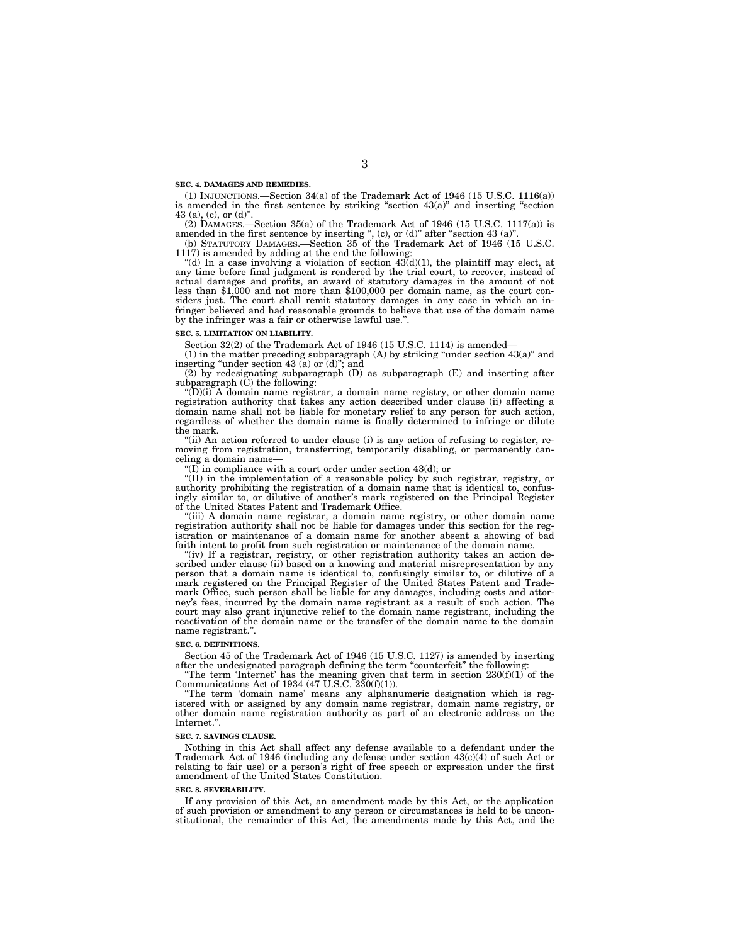#### **SEC. 4. DAMAGES AND REMEDIES.**

(1) INJUNCTIONS.—Section 34(a) of the Trademark Act of 1946 (15 U.S.C. 1116(a)) is amended in the first sentence by striking ''section 43(a)'' and inserting ''section 43 (a), (c), or (d)''.

(2) DAMAGES.—Section 35(a) of the Trademark Act of  $1946$  (15 U.S.C. 1117(a)) is amended in the first sentence by inserting ", (c), or (d)" after "section 43 (a)".

(b) STATUTORY DAMAGES.—Section 35 of the Trademark Act of 1946 (15 U.S.C. 1117) is amended by adding at the end the following:

"(d) In a case involving a violation of section  $43(d)(1)$ , the plaintiff may elect, at any time before final judgment is rendered by the trial court, to recover, instead of actual damages and profits, an award of statutory damages in the amount of not less than \$1,000 and not more than \$100,000 per domain name, as the court considers just. The court shall remit statutory damages in any case in which an infringer believed and had reasonable grounds to believe that use of the domain name by the infringer was a fair or otherwise lawful use.''.

#### **SEC. 5. LIMITATION ON LIABILITY.**

Section 32(2) of the Trademark Act of 1946 (15 U.S.C. 1114) is amended—

(1) in the matter preceding subparagraph (A) by striking ''under section 43(a)'' and inserting ''under section 43 (a) or (d)''; and

(2) by redesignating subparagraph (D) as subparagraph (E) and inserting after subparagraph  $(\tilde{C})$  the following:

''(D)(i) A domain name registrar, a domain name registry, or other domain name registration authority that takes any action described under clause (ii) affecting a domain name shall not be liable for monetary relief to any person for such action, regardless of whether the domain name is finally determined to infringe or dilute the mark.

''(ii) An action referred to under clause (i) is any action of refusing to register, removing from registration, transferring, temporarily disabling, or permanently canceling a domain name—

"(I) in compliance with a court order under section  $43(d)$ ; or

''(II) in the implementation of a reasonable policy by such registrar, registry, or authority prohibiting the registration of a domain name that is identical to, confusingly similar to, or dilutive of another's mark registered on the Principal Register of the United States Patent and Trademark Office.

''(iii) A domain name registrar, a domain name registry, or other domain name registration authority shall not be liable for damages under this section for the registration or maintenance of a domain name for another absent a showing of bad faith intent to profit from such registration or maintenance of the domain name.

''(iv) If a registrar, registry, or other registration authority takes an action described under clause (ii) based on a knowing and material misrepresentation by any person that a domain name is identical to, confusingly similar to, or dilutive of a mark registered on the Principal Register of the United States Patent and Trademark Office, such person shall be liable for any damages, including costs and attorney's fees, incurred by the domain name registrant as a result of such action. The court may also grant injunctive relief to the domain name registrant, including the reactivation of the domain name or the transfer of the domain name to the domain name registrant.''.

#### **SEC. 6. DEFINITIONS.**

Section 45 of the Trademark Act of 1946 (15 U.S.C. 1127) is amended by inserting after the undesignated paragraph defining the term ''counterfeit'' the following:

"The term 'Internet' has the meaning given that term in section  $230(f)(1)$  of the Communications Act of 1934 (47 U.S.C.  $230(f)(1)$ ).

''The term 'domain name' means any alphanumeric designation which is registered with or assigned by any domain name registrar, domain name registry, or other domain name registration authority as part of an electronic address on the Internet."

#### **SEC. 7. SAVINGS CLAUSE.**

Nothing in this Act shall affect any defense available to a defendant under the Trademark Act of 1946 (including any defense under section 43(c)(4) of such Act or relating to fair use) or a person's right of free speech or expression under the first amendment of the United States Constitution.

#### **SEC. 8. SEVERABILITY.**

If any provision of this Act, an amendment made by this Act, or the application of such provision or amendment to any person or circumstances is held to be unconstitutional, the remainder of this Act, the amendments made by this Act, and the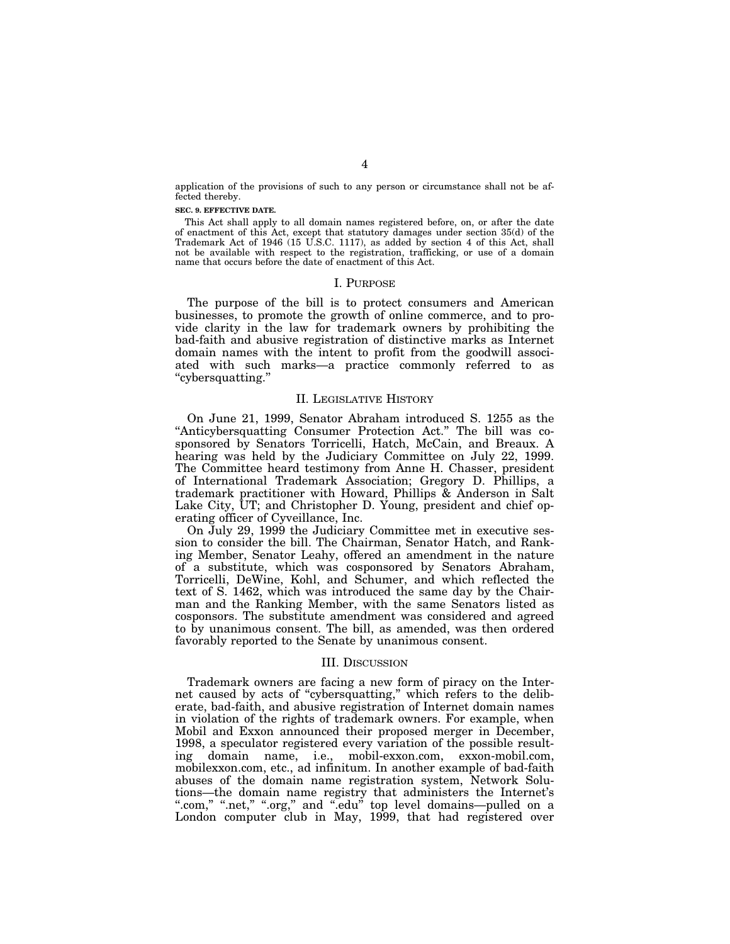application of the provisions of such to any person or circumstance shall not be affected thereby.

#### **SEC. 9. EFFECTIVE DATE.**

This Act shall apply to all domain names registered before, on, or after the date of enactment of this Act, except that statutory damages under section 35(d) of the Trademark Act of 1946 (15 U.S.C. 1117), as added by section 4 of this Act, shall not be available with respect to the registration, trafficking, or use of a domain name that occurs before the date of enactment of this Act.

### I. PURPOSE

The purpose of the bill is to protect consumers and American businesses, to promote the growth of online commerce, and to provide clarity in the law for trademark owners by prohibiting the bad-faith and abusive registration of distinctive marks as Internet domain names with the intent to profit from the goodwill associated with such marks—a practice commonly referred to as ''cybersquatting.''

### II. LEGISLATIVE HISTORY

On June 21, 1999, Senator Abraham introduced S. 1255 as the "Anticybersquatting Consumer Protection Act." The bill was cosponsored by Senators Torricelli, Hatch, McCain, and Breaux. A hearing was held by the Judiciary Committee on July 22, 1999. The Committee heard testimony from Anne H. Chasser, president of International Trademark Association; Gregory D. Phillips, a trademark practitioner with Howard, Phillips & Anderson in Salt Lake City, UT; and Christopher D. Young, president and chief operating officer of Cyveillance, Inc.

On July 29, 1999 the Judiciary Committee met in executive session to consider the bill. The Chairman, Senator Hatch, and Ranking Member, Senator Leahy, offered an amendment in the nature of a substitute, which was cosponsored by Senators Abraham, Torricelli, DeWine, Kohl, and Schumer, and which reflected the text of S. 1462, which was introduced the same day by the Chairman and the Ranking Member, with the same Senators listed as cosponsors. The substitute amendment was considered and agreed to by unanimous consent. The bill, as amended, was then ordered favorably reported to the Senate by unanimous consent.

### III. DISCUSSION

Trademark owners are facing a new form of piracy on the Internet caused by acts of ''cybersquatting,'' which refers to the deliberate, bad-faith, and abusive registration of Internet domain names in violation of the rights of trademark owners. For example, when Mobil and Exxon announced their proposed merger in December, 1998, a speculator registered every variation of the possible resulting domain name, i.e., mobil-exxon.com, exxon-mobil.com, mobilexxon.com, etc., ad infinitum. In another example of bad-faith abuses of the domain name registration system, Network Solutions—the domain name registry that administers the Internet's ''.com,'' ''.net,'' ''.org,'' and ''.edu'' top level domains—pulled on a London computer club in May, 1999, that had registered over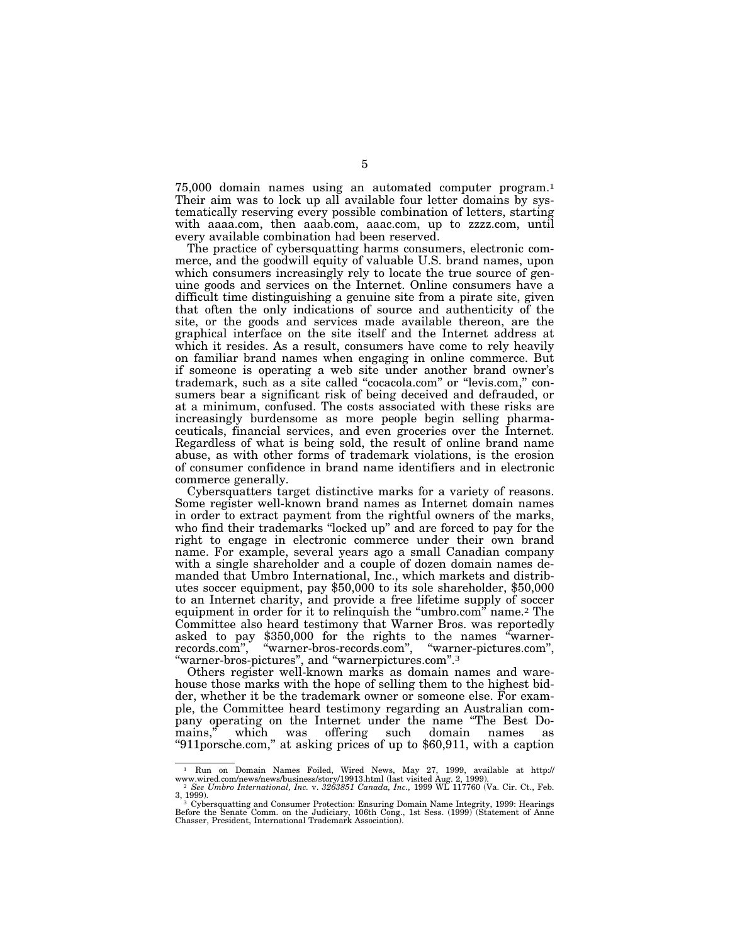75,000 domain names using an automated computer program.1 Their aim was to lock up all available four letter domains by systematically reserving every possible combination of letters, starting with aaaa.com, then aaab.com, aaac.com, up to zzzz.com, until every available combination had been reserved.

The practice of cybersquatting harms consumers, electronic commerce, and the goodwill equity of valuable U.S. brand names, upon which consumers increasingly rely to locate the true source of genuine goods and services on the Internet. Online consumers have a difficult time distinguishing a genuine site from a pirate site, given that often the only indications of source and authenticity of the site, or the goods and services made available thereon, are the graphical interface on the site itself and the Internet address at which it resides. As a result, consumers have come to rely heavily on familiar brand names when engaging in online commerce. But if someone is operating a web site under another brand owner's trademark, such as a site called ''cocacola.com'' or ''levis.com,'' consumers bear a significant risk of being deceived and defrauded, or at a minimum, confused. The costs associated with these risks are increasingly burdensome as more people begin selling pharmaceuticals, financial services, and even groceries over the Internet. Regardless of what is being sold, the result of online brand name abuse, as with other forms of trademark violations, is the erosion of consumer confidence in brand name identifiers and in electronic commerce generally.

Cybersquatters target distinctive marks for a variety of reasons. Some register well-known brand names as Internet domain names in order to extract payment from the rightful owners of the marks, who find their trademarks "locked up" and are forced to pay for the right to engage in electronic commerce under their own brand name. For example, several years ago a small Canadian company with a single shareholder and a couple of dozen domain names demanded that Umbro International, Inc., which markets and distributes soccer equipment, pay \$50,000 to its sole shareholder, \$50,000 to an Internet charity, and provide a free lifetime supply of soccer equipment in order for it to relinquish the ''umbro.com'' name.2 The Committee also heard testimony that Warner Bros. was reportedly asked to pay \$350,000 for the rights to the names ''warnerrecords.com'', ''warner-bros-records.com'', ''warner-pictures.com'', "warner-bros-pictures", and "warnerpictures.com".<sup>3</sup><br>Character Character Character Character Character Character Character Character Character Character Character C

Others register well-known marks as domain names and warehouse those marks with the hope of selling them to the highest bidder, whether it be the trademark owner or someone else. For example, the Committee heard testimony regarding an Australian company operating on the Internet under the name "The Best Do-<br>mains," which was offering such domain names as domain names as ''911porsche.com,'' at asking prices of up to \$60,911, with a caption

<sup>1</sup> Run on Domain Names Foiled, Wired News, May 27, 1999, available at http://

www.wired.com/news/news/business/story/19913.html (last visited Aug. 2, 1999).<br><sup>2</sup> *See Umbro International, Inc.* v. *3263851 Canada, Inc.*, 1999 WL 117760 (Va. Cir. Ct., Feb. 3, 1999).

<sup>3, 1999).&</sup>lt;br><sup>33</sup> Cybersquatting and Consumer Protection: Ensuring Domain Name Integrity, 1999: Hearings<br>Before the Senate Comm. on the Judiciary, 106th Cong., 1st Sess. (1999) (Statement of Anne<br>Chasser, President, Internati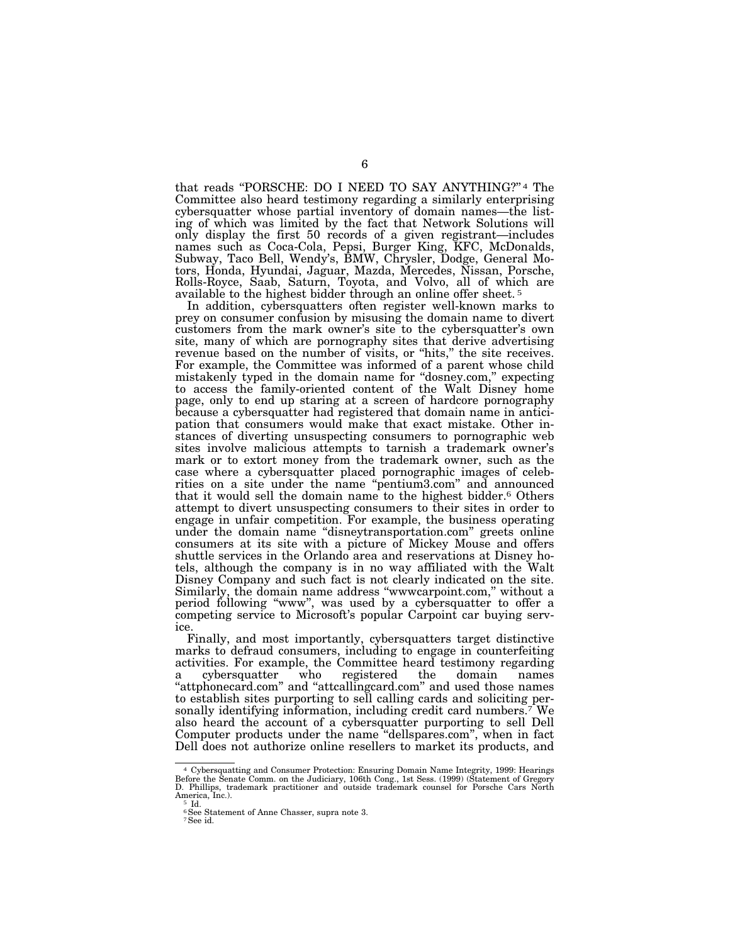that reads ''PORSCHE: DO I NEED TO SAY ANYTHING?'' 4 The Committee also heard testimony regarding a similarly enterprising cybersquatter whose partial inventory of domain names—the listing of which was limited by the fact that Network Solutions will only display the first 50 records of a given registrant—includes names such as Coca-Cola, Pepsi, Burger King, KFC, McDonalds, Subway, Taco Bell, Wendy's, BMW, Chrysler, Dodge, General Motors, Honda, Hyundai, Jaguar, Mazda, Mercedes, Nissan, Porsche, Rolls-Royce, Saab, Saturn, Toyota, and Volvo, all of which are available to the highest bidder through an online offer sheet.<sup>5</sup>

In addition, cybersquatters often register well-known marks to prey on consumer confusion by misusing the domain name to divert customers from the mark owner's site to the cybersquatter's own site, many of which are pornography sites that derive advertising revenue based on the number of visits, or "hits," the site receives. For example, the Committee was informed of a parent whose child mistakenly typed in the domain name for ''dosney.com,'' expecting to access the family-oriented content of the Walt Disney home page, only to end up staring at a screen of hardcore pornography because a cybersquatter had registered that domain name in anticipation that consumers would make that exact mistake. Other instances of diverting unsuspecting consumers to pornographic web sites involve malicious attempts to tarnish a trademark owner's mark or to extort money from the trademark owner, such as the case where a cybersquatter placed pornographic images of celebrities on a site under the name ''pentium3.com'' and announced that it would sell the domain name to the highest bidder.<sup>6</sup> Others attempt to divert unsuspecting consumers to their sites in order to engage in unfair competition. For example, the business operating under the domain name ''disneytransportation.com'' greets online consumers at its site with a picture of Mickey Mouse and offers shuttle services in the Orlando area and reservations at Disney hotels, although the company is in no way affiliated with the Walt Disney Company and such fact is not clearly indicated on the site. Similarly, the domain name address ''wwwcarpoint.com,'' without a period following ''www'', was used by a cybersquatter to offer a competing service to Microsoft's popular Carpoint car buying service.

Finally, and most importantly, cybersquatters target distinctive marks to defraud consumers, including to engage in counterfeiting activities. For example, the Committee heard testimony regarding a cybersquatter who registered the domain names "attphonecard.com" and "attcallingcard.com" and used those names to establish sites purporting to sell calling cards and soliciting personally identifying information, including credit card numbers.7 We also heard the account of a cybersquatter purporting to sell Dell Computer products under the name ''dellspares.com'', when in fact Dell does not authorize online resellers to market its products, and

<sup>4</sup> Cybersquatting and Consumer Protection: Ensuring Domain Name Integrity, 1999: Hearings Before the Senate Comm. on the Judiciary, 106th Cong., 1st Sess. (1999) (Statement of Gregory D. Phillips, trademark practitioner and outside trademark counsel for Porsche Cars North America, Inc.).<br><sup>5</sup> Id.<br><sup>6</sup>See Statement of Anne Chasser, supra note 3.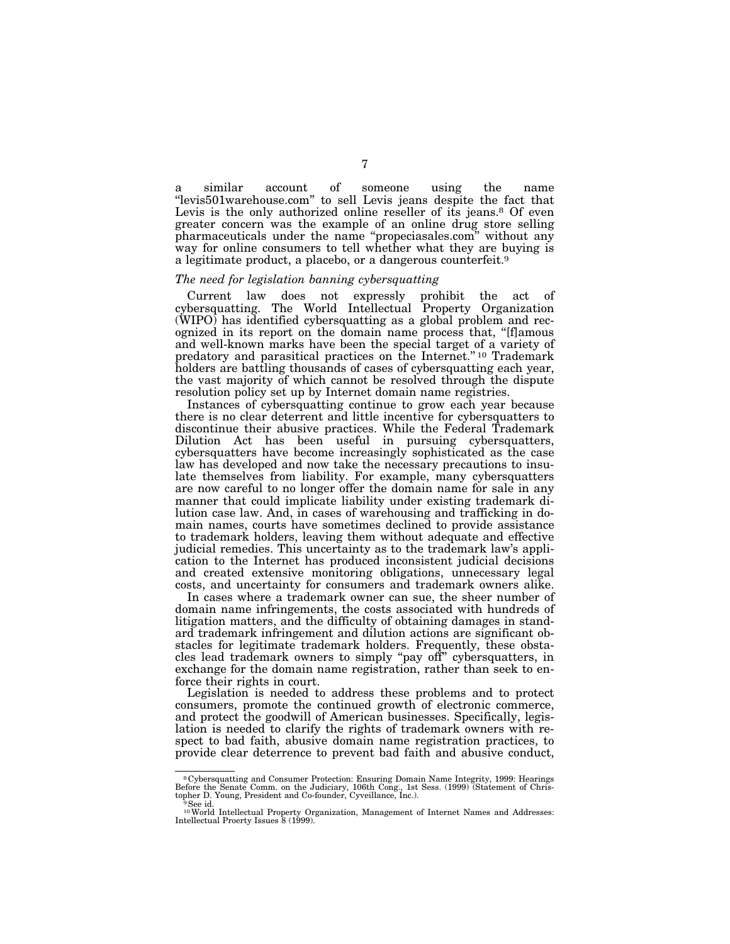a similar account of someone using the name ''levis501warehouse.com'' to sell Levis jeans despite the fact that Levis is the only authorized online reseller of its jeans.<sup>8</sup> Of even greater concern was the example of an online drug store selling pharmaceuticals under the name ''propeciasales.com'' without any way for online consumers to tell whether what they are buying is a legitimate product, a placebo, or a dangerous counterfeit.9

#### *The need for legislation banning cybersquatting*

Current law does not expressly prohibit the act of cybersquatting. The World Intellectual Property Organization (WIPO) has identified cybersquatting as a global problem and recognized in its report on the domain name process that, ''[f]amous and well-known marks have been the special target of a variety of predatory and parasitical practices on the Internet."<sup>10</sup> Trademark holders are battling thousands of cases of cybersquatting each year, the vast majority of which cannot be resolved through the dispute resolution policy set up by Internet domain name registries.

Instances of cybersquatting continue to grow each year because there is no clear deterrent and little incentive for cybersquatters to discontinue their abusive practices. While the Federal Trademark Dilution Act has been useful in pursuing cybersquatters, cybersquatters have become increasingly sophisticated as the case law has developed and now take the necessary precautions to insulate themselves from liability. For example, many cybersquatters are now careful to no longer offer the domain name for sale in any manner that could implicate liability under existing trademark dilution case law. And, in cases of warehousing and trafficking in domain names, courts have sometimes declined to provide assistance to trademark holders, leaving them without adequate and effective judicial remedies. This uncertainty as to the trademark law's application to the Internet has produced inconsistent judicial decisions and created extensive monitoring obligations, unnecessary legal costs, and uncertainty for consumers and trademark owners alike.

In cases where a trademark owner can sue, the sheer number of domain name infringements, the costs associated with hundreds of litigation matters, and the difficulty of obtaining damages in standard trademark infringement and dilution actions are significant obstacles for legitimate trademark holders. Frequently, these obstacles lead trademark owners to simply ''pay off'' cybersquatters, in exchange for the domain name registration, rather than seek to enforce their rights in court.

Legislation is needed to address these problems and to protect consumers, promote the continued growth of electronic commerce, and protect the goodwill of American businesses. Specifically, legislation is needed to clarify the rights of trademark owners with respect to bad faith, abusive domain name registration practices, to provide clear deterrence to prevent bad faith and abusive conduct,

<sup>&</sup>lt;sup>8</sup>Cybersquatting and Consumer Protection: Ensuring Domain Name Integrity, 1999: Hearings Before the Senate Comm. on the Judiciary, 106th Cong., 1st Sess. (1999) (Statement of Christopher D. Young, President and Co-founder

<sup>10</sup>World Intellectual Property Organization, Management of Internet Names and Addresses: Intellectual Proerty Issues 8 (1999).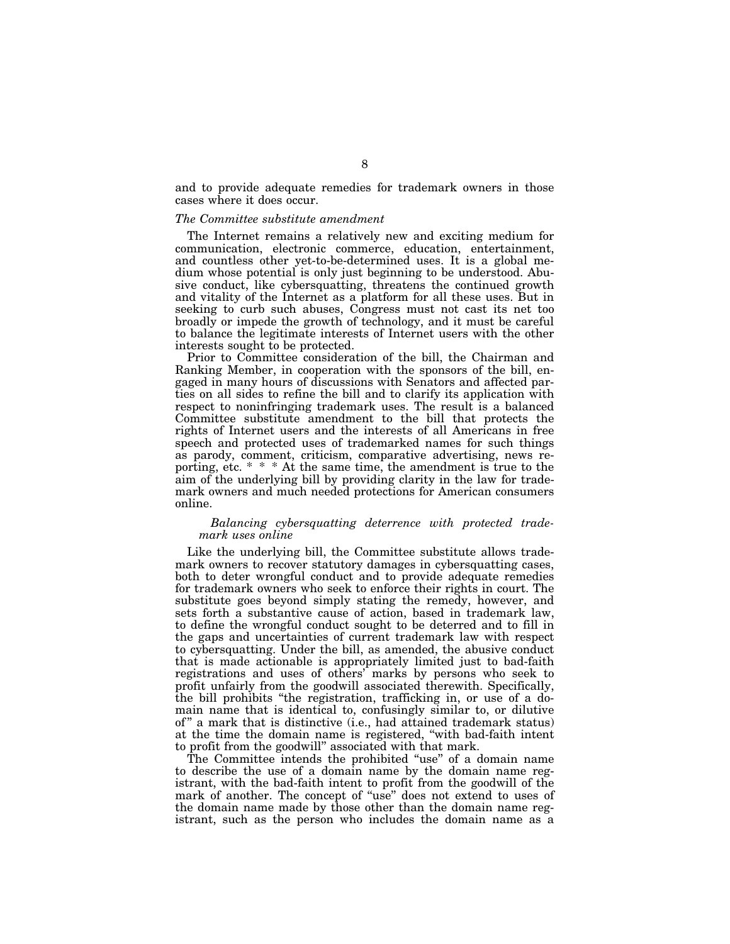and to provide adequate remedies for trademark owners in those cases where it does occur.

### *The Committee substitute amendment*

The Internet remains a relatively new and exciting medium for communication, electronic commerce, education, entertainment, and countless other yet-to-be-determined uses. It is a global medium whose potential is only just beginning to be understood. Abusive conduct, like cybersquatting, threatens the continued growth and vitality of the Internet as a platform for all these uses. But in seeking to curb such abuses, Congress must not cast its net too broadly or impede the growth of technology, and it must be careful to balance the legitimate interests of Internet users with the other interests sought to be protected.

Prior to Committee consideration of the bill, the Chairman and Ranking Member, in cooperation with the sponsors of the bill, engaged in many hours of discussions with Senators and affected parties on all sides to refine the bill and to clarify its application with respect to noninfringing trademark uses. The result is a balanced Committee substitute amendment to the bill that protects the rights of Internet users and the interests of all Americans in free speech and protected uses of trademarked names for such things as parody, comment, criticism, comparative advertising, news reporting, etc. \* \* \* At the same time, the amendment is true to the aim of the underlying bill by providing clarity in the law for trademark owners and much needed protections for American consumers online.

### *Balancing cybersquatting deterrence with protected trademark uses online*

Like the underlying bill, the Committee substitute allows trademark owners to recover statutory damages in cybersquatting cases, both to deter wrongful conduct and to provide adequate remedies for trademark owners who seek to enforce their rights in court. The substitute goes beyond simply stating the remedy, however, and sets forth a substantive cause of action, based in trademark law, to define the wrongful conduct sought to be deterred and to fill in the gaps and uncertainties of current trademark law with respect to cybersquatting. Under the bill, as amended, the abusive conduct that is made actionable is appropriately limited just to bad-faith registrations and uses of others' marks by persons who seek to profit unfairly from the goodwill associated therewith. Specifically, the bill prohibits ''the registration, trafficking in, or use of a domain name that is identical to, confusingly similar to, or dilutive of '' a mark that is distinctive (i.e., had attained trademark status) at the time the domain name is registered, ''with bad-faith intent to profit from the goodwill'' associated with that mark.

The Committee intends the prohibited "use" of a domain name to describe the use of a domain name by the domain name registrant, with the bad-faith intent to profit from the goodwill of the mark of another. The concept of "use" does not extend to uses of the domain name made by those other than the domain name registrant, such as the person who includes the domain name as a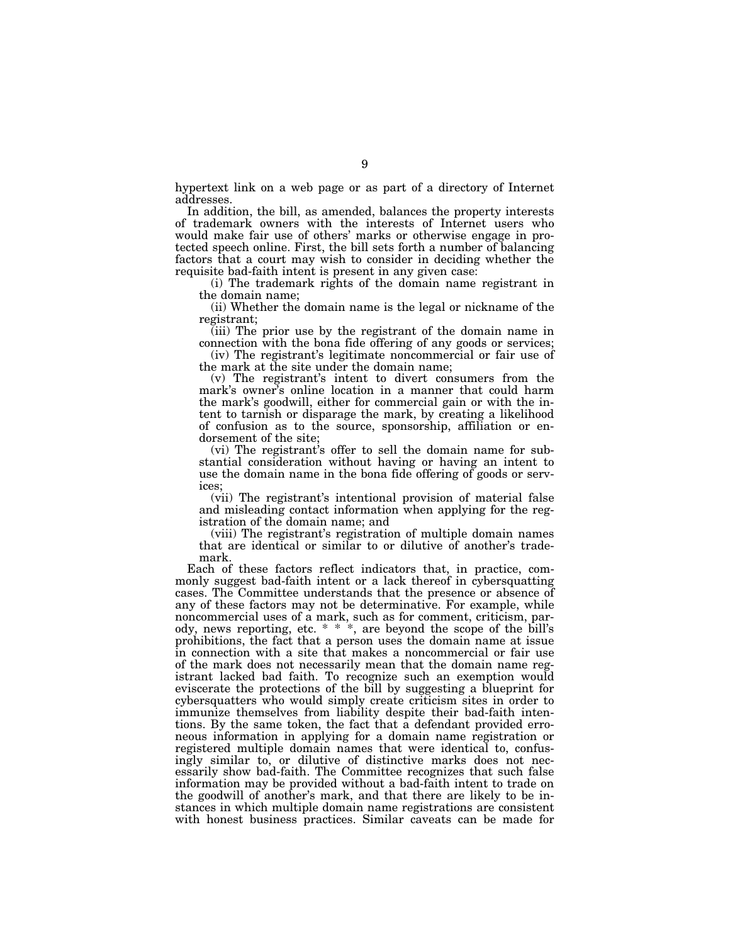hypertext link on a web page or as part of a directory of Internet addresses.

In addition, the bill, as amended, balances the property interests of trademark owners with the interests of Internet users who would make fair use of others' marks or otherwise engage in protected speech online. First, the bill sets forth a number of balancing factors that a court may wish to consider in deciding whether the requisite bad-faith intent is present in any given case:

(i) The trademark rights of the domain name registrant in the domain name;

(ii) Whether the domain name is the legal or nickname of the registrant;

(iii) The prior use by the registrant of the domain name in connection with the bona fide offering of any goods or services;

(iv) The registrant's legitimate noncommercial or fair use of the mark at the site under the domain name;

(v) The registrant's intent to divert consumers from the mark's owner's online location in a manner that could harm the mark's goodwill, either for commercial gain or with the intent to tarnish or disparage the mark, by creating a likelihood of confusion as to the source, sponsorship, affiliation or endorsement of the site;

(vi) The registrant's offer to sell the domain name for substantial consideration without having or having an intent to use the domain name in the bona fide offering of goods or services;

(vii) The registrant's intentional provision of material false and misleading contact information when applying for the registration of the domain name; and

(viii) The registrant's registration of multiple domain names that are identical or similar to or dilutive of another's trademark.

Each of these factors reflect indicators that, in practice, commonly suggest bad-faith intent or a lack thereof in cybersquatting cases. The Committee understands that the presence or absence of any of these factors may not be determinative. For example, while noncommercial uses of a mark, such as for comment, criticism, parody, news reporting, etc. \* \* \*, are beyond the scope of the bill's prohibitions, the fact that a person uses the domain name at issue in connection with a site that makes a noncommercial or fair use of the mark does not necessarily mean that the domain name registrant lacked bad faith. To recognize such an exemption would eviscerate the protections of the bill by suggesting a blueprint for cybersquatters who would simply create criticism sites in order to immunize themselves from liability despite their bad-faith intentions. By the same token, the fact that a defendant provided erroneous information in applying for a domain name registration or registered multiple domain names that were identical to, confusingly similar to, or dilutive of distinctive marks does not necessarily show bad-faith. The Committee recognizes that such false information may be provided without a bad-faith intent to trade on the goodwill of another's mark, and that there are likely to be instances in which multiple domain name registrations are consistent with honest business practices. Similar caveats can be made for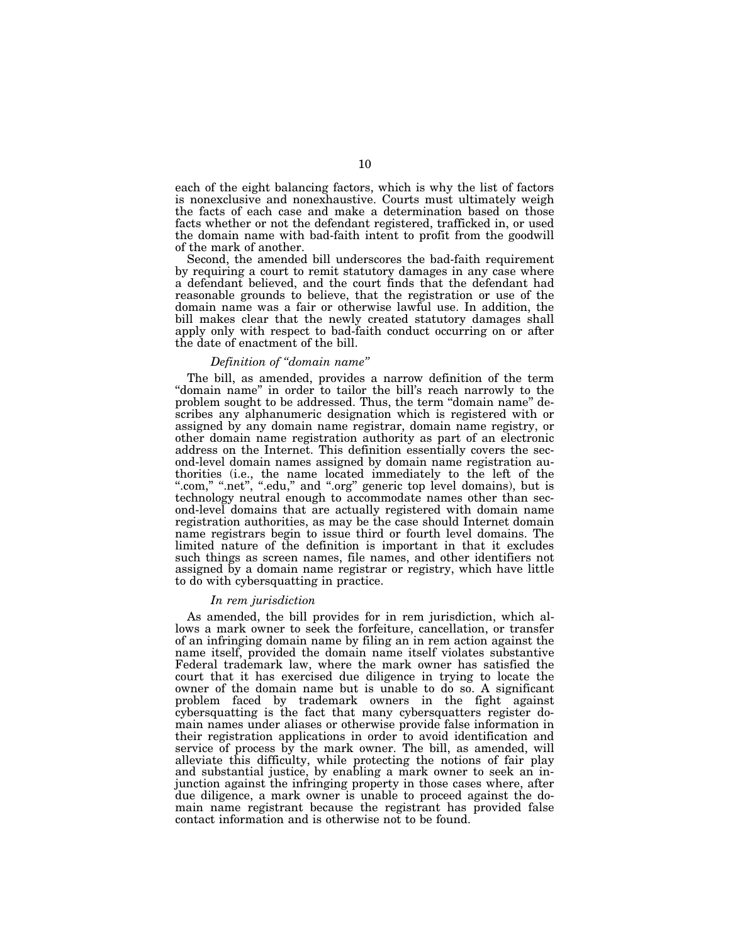each of the eight balancing factors, which is why the list of factors is nonexclusive and nonexhaustive. Courts must ultimately weigh the facts of each case and make a determination based on those facts whether or not the defendant registered, trafficked in, or used the domain name with bad-faith intent to profit from the goodwill of the mark of another.

Second, the amended bill underscores the bad-faith requirement by requiring a court to remit statutory damages in any case where a defendant believed, and the court finds that the defendant had reasonable grounds to believe, that the registration or use of the domain name was a fair or otherwise lawful use. In addition, the bill makes clear that the newly created statutory damages shall apply only with respect to bad-faith conduct occurring on or after the date of enactment of the bill.

#### *Definition of ''domain name''*

The bill, as amended, provides a narrow definition of the term "domain name" in order to tailor the bill's reach narrowly to the problem sought to be addressed. Thus, the term ''domain name'' describes any alphanumeric designation which is registered with or assigned by any domain name registrar, domain name registry, or other domain name registration authority as part of an electronic address on the Internet. This definition essentially covers the second-level domain names assigned by domain name registration authorities (i.e., the name located immediately to the left of the ".com," ".net", ".edu," and ".org" generic top level domains), but is technology neutral enough to accommodate names other than second-level domains that are actually registered with domain name registration authorities, as may be the case should Internet domain name registrars begin to issue third or fourth level domains. The limited nature of the definition is important in that it excludes such things as screen names, file names, and other identifiers not assigned by a domain name registrar or registry, which have little to do with cybersquatting in practice.

#### *In rem jurisdiction*

As amended, the bill provides for in rem jurisdiction, which allows a mark owner to seek the forfeiture, cancellation, or transfer of an infringing domain name by filing an in rem action against the name itself, provided the domain name itself violates substantive Federal trademark law, where the mark owner has satisfied the court that it has exercised due diligence in trying to locate the owner of the domain name but is unable to do so. A significant problem faced by trademark owners in the fight against cybersquatting is the fact that many cybersquatters register domain names under aliases or otherwise provide false information in their registration applications in order to avoid identification and service of process by the mark owner. The bill, as amended, will alleviate this difficulty, while protecting the notions of fair play and substantial justice, by enabling a mark owner to seek an injunction against the infringing property in those cases where, after due diligence, a mark owner is unable to proceed against the domain name registrant because the registrant has provided false contact information and is otherwise not to be found.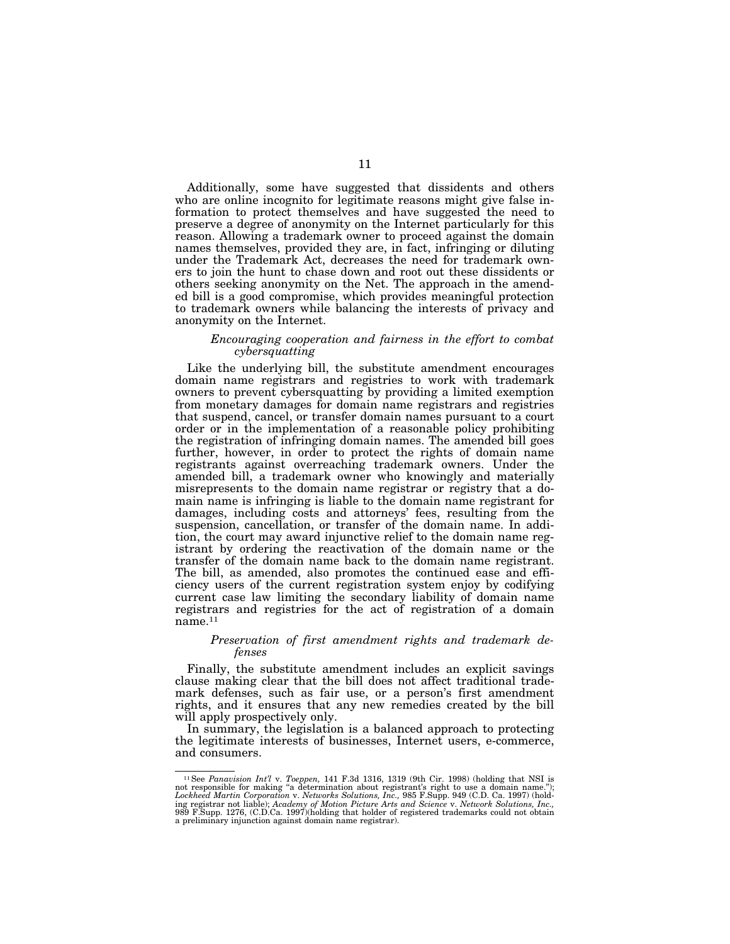Additionally, some have suggested that dissidents and others who are online incognito for legitimate reasons might give false information to protect themselves and have suggested the need to preserve a degree of anonymity on the Internet particularly for this reason. Allowing a trademark owner to proceed against the domain names themselves, provided they are, in fact, infringing or diluting under the Trademark Act, decreases the need for trademark owners to join the hunt to chase down and root out these dissidents or others seeking anonymity on the Net. The approach in the amended bill is a good compromise, which provides meaningful protection to trademark owners while balancing the interests of privacy and anonymity on the Internet.

### *Encouraging cooperation and fairness in the effort to combat cybersquatting*

Like the underlying bill, the substitute amendment encourages domain name registrars and registries to work with trademark owners to prevent cybersquatting by providing a limited exemption from monetary damages for domain name registrars and registries that suspend, cancel, or transfer domain names pursuant to a court order or in the implementation of a reasonable policy prohibiting the registration of infringing domain names. The amended bill goes further, however, in order to protect the rights of domain name registrants against overreaching trademark owners. Under the amended bill, a trademark owner who knowingly and materially misrepresents to the domain name registrar or registry that a domain name is infringing is liable to the domain name registrant for damages, including costs and attorneys' fees, resulting from the suspension, cancellation, or transfer of the domain name. In addition, the court may award injunctive relief to the domain name registrant by ordering the reactivation of the domain name or the transfer of the domain name back to the domain name registrant. The bill, as amended, also promotes the continued ease and efficiency users of the current registration system enjoy by codifying current case law limiting the secondary liability of domain name registrars and registries for the act of registration of a domain  $name.<sup>11</sup>$ 

### *Preservation of first amendment rights and trademark defenses*

Finally, the substitute amendment includes an explicit savings clause making clear that the bill does not affect traditional trademark defenses, such as fair use, or a person's first amendment rights, and it ensures that any new remedies created by the bill will apply prospectively only.

In summary, the legislation is a balanced approach to protecting the legitimate interests of businesses, Internet users, e-commerce, and consumers.

<sup>&</sup>lt;sup>11</sup> See *Panavision Int'l* v. Toeppen, 141 F.3d 1316, 1319 (9th Cir. 1998) (holding that NSI is not responsible for making "a determination about registrant's right to use a domain name."); *Lockheed Martin Corporation v* ing registrar not liable); *Academy of Motion Picture Arts and Science v. Network Solutions, Inc.,*<br>989 F.Supp. 1276, (C.D.Ca. 1997)(holding that holder of registered trademarks could not obtain<br>a preliminary injunction ag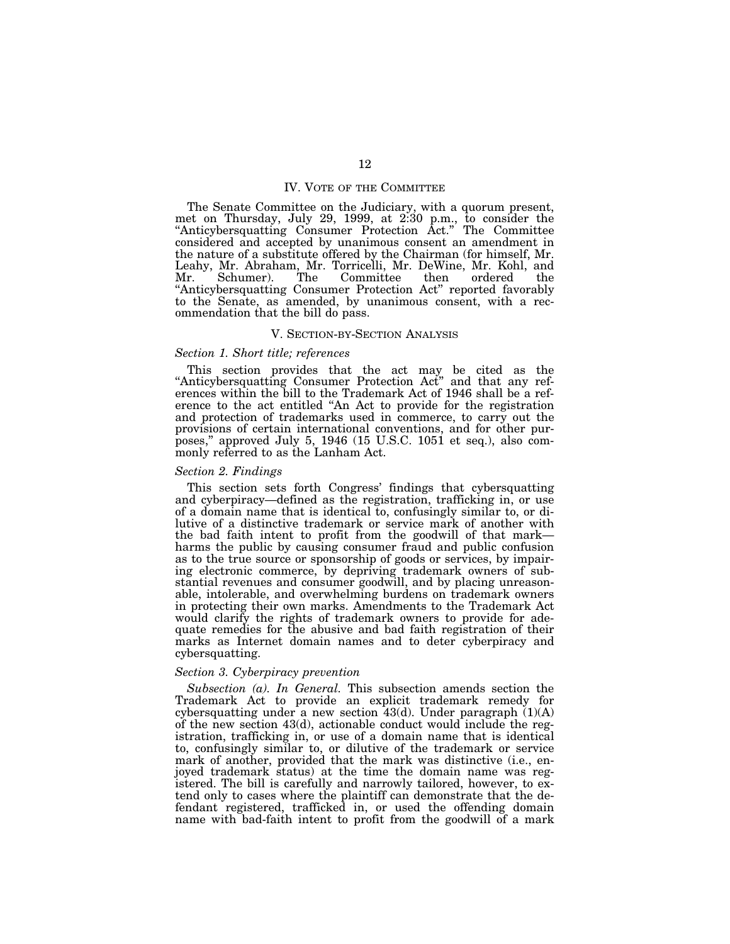#### IV. VOTE OF THE COMMITTEE

The Senate Committee on the Judiciary, with a quorum present, met on Thursday, July 29, 1999, at 2:30 p.m., to consider the ''Anticybersquatting Consumer Protection Act.'' The Committee considered and accepted by unanimous consent an amendment in the nature of a substitute offered by the Chairman (for himself, Mr. Leahy, Mr. Abraham, Mr. Torricelli, Mr. DeWine, Mr. Kohl, and Mr. Schumer). The Committee then ordered the ''Anticybersquatting Consumer Protection Act'' reported favorably to the Senate, as amended, by unanimous consent, with a recommendation that the bill do pass.

### V. SECTION-BY-SECTION ANALYSIS

### *Section 1. Short title; references*

This section provides that the act may be cited as the ''Anticybersquatting Consumer Protection Act'' and that any references within the bill to the Trademark Act of 1946 shall be a reference to the act entitled ''An Act to provide for the registration and protection of trademarks used in commerce, to carry out the provisions of certain international conventions, and for other purposes,'' approved July 5, 1946 (15 U.S.C. 1051 et seq.), also commonly referred to as the Lanham Act.

### *Section 2. Findings*

This section sets forth Congress' findings that cybersquatting and cyberpiracy—defined as the registration, trafficking in, or use of a domain name that is identical to, confusingly similar to, or dilutive of a distinctive trademark or service mark of another with the bad faith intent to profit from the goodwill of that mark harms the public by causing consumer fraud and public confusion as to the true source or sponsorship of goods or services, by impairing electronic commerce, by depriving trademark owners of substantial revenues and consumer goodwill, and by placing unreasonable, intolerable, and overwhelming burdens on trademark owners in protecting their own marks. Amendments to the Trademark Act would clarify the rights of trademark owners to provide for adequate remedies for the abusive and bad faith registration of their marks as Internet domain names and to deter cyberpiracy and cybersquatting.

## *Section 3. Cyberpiracy prevention*

*Subsection (a). In General.* This subsection amends section the Trademark Act to provide an explicit trademark remedy for cybersquatting under a new section  $43(d)$ . Under paragraph  $(1)(A)$ of the new section 43(d), actionable conduct would include the registration, trafficking in, or use of a domain name that is identical to, confusingly similar to, or dilutive of the trademark or service mark of another, provided that the mark was distinctive (i.e., enjoyed trademark status) at the time the domain name was registered. The bill is carefully and narrowly tailored, however, to extend only to cases where the plaintiff can demonstrate that the defendant registered, trafficked in, or used the offending domain name with bad-faith intent to profit from the goodwill of a mark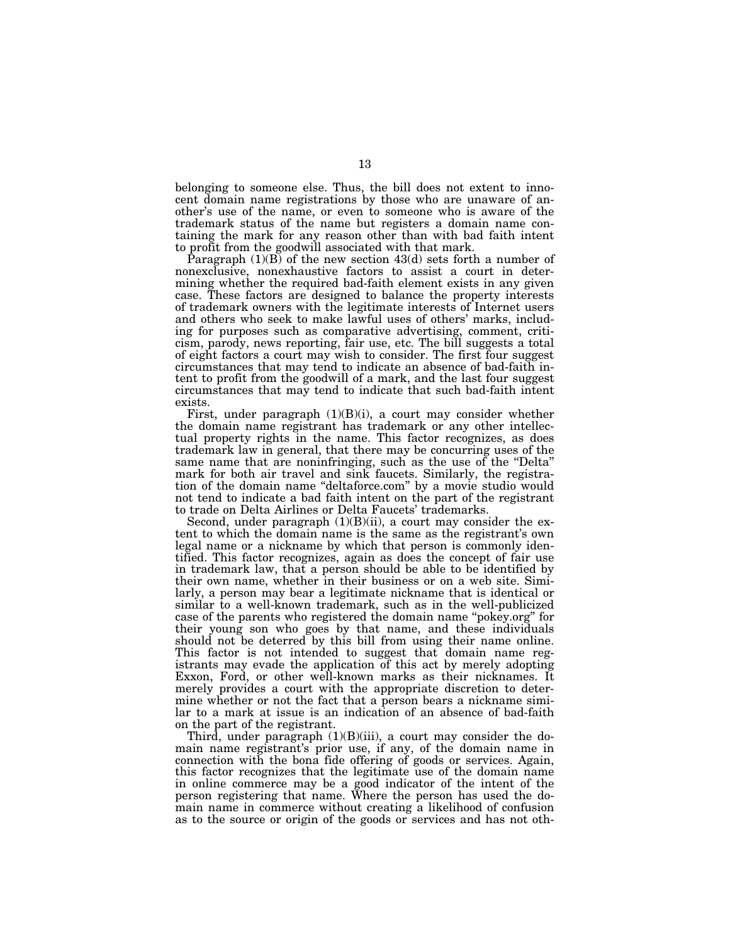belonging to someone else. Thus, the bill does not extent to innocent domain name registrations by those who are unaware of another's use of the name, or even to someone who is aware of the trademark status of the name but registers a domain name containing the mark for any reason other than with bad faith intent to profit from the goodwill associated with that mark.

Paragraph  $(1)(B)$  of the new section 43(d) sets forth a number of nonexclusive, nonexhaustive factors to assist a court in determining whether the required bad-faith element exists in any given case. These factors are designed to balance the property interests of trademark owners with the legitimate interests of Internet users and others who seek to make lawful uses of others' marks, including for purposes such as comparative advertising, comment, criticism, parody, news reporting, fair use, etc. The bill suggests a total of eight factors a court may wish to consider. The first four suggest circumstances that may tend to indicate an absence of bad-faith intent to profit from the goodwill of a mark, and the last four suggest circumstances that may tend to indicate that such bad-faith intent exists.

First, under paragraph  $(1)(B)(i)$ , a court may consider whether the domain name registrant has trademark or any other intellectual property rights in the name. This factor recognizes, as does trademark law in general, that there may be concurring uses of the same name that are noninfringing, such as the use of the "Delta" mark for both air travel and sink faucets. Similarly, the registration of the domain name ''deltaforce.com'' by a movie studio would not tend to indicate a bad faith intent on the part of the registrant to trade on Delta Airlines or Delta Faucets' trademarks.

Second, under paragraph  $(1)(B)(ii)$ , a court may consider the extent to which the domain name is the same as the registrant's own legal name or a nickname by which that person is commonly identified. This factor recognizes, again as does the concept of fair use in trademark law, that a person should be able to be identified by their own name, whether in their business or on a web site. Similarly, a person may bear a legitimate nickname that is identical or similar to a well-known trademark, such as in the well-publicized case of the parents who registered the domain name ''pokey.org'' for their young son who goes by that name, and these individuals should not be deterred by this bill from using their name online. This factor is not intended to suggest that domain name registrants may evade the application of this act by merely adopting Exxon, Ford, or other well-known marks as their nicknames. It merely provides a court with the appropriate discretion to determine whether or not the fact that a person bears a nickname similar to a mark at issue is an indication of an absence of bad-faith on the part of the registrant.

Third, under paragraph  $(1)(B)(iii)$ , a court may consider the domain name registrant's prior use, if any, of the domain name in connection with the bona fide offering of goods or services. Again, this factor recognizes that the legitimate use of the domain name in online commerce may be a good indicator of the intent of the person registering that name. Where the person has used the domain name in commerce without creating a likelihood of confusion as to the source or origin of the goods or services and has not oth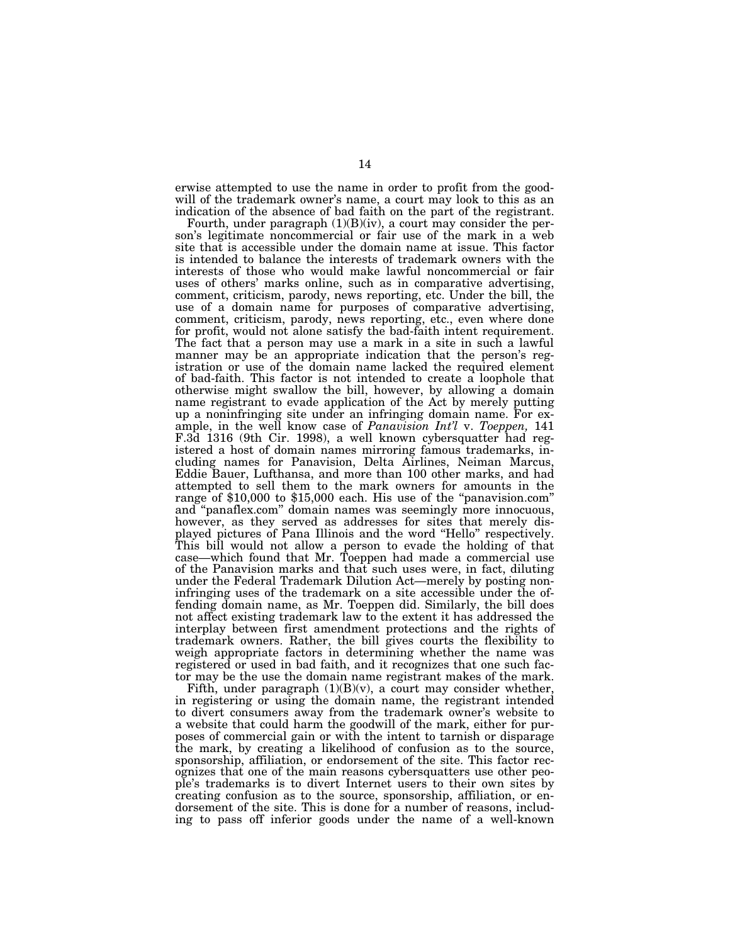erwise attempted to use the name in order to profit from the goodwill of the trademark owner's name, a court may look to this as an indication of the absence of bad faith on the part of the registrant.

Fourth, under paragraph  $(1)(B)(iv)$ , a court may consider the person's legitimate noncommercial or fair use of the mark in a web site that is accessible under the domain name at issue. This factor is intended to balance the interests of trademark owners with the interests of those who would make lawful noncommercial or fair uses of others' marks online, such as in comparative advertising, comment, criticism, parody, news reporting, etc. Under the bill, the use of a domain name for purposes of comparative advertising, comment, criticism, parody, news reporting, etc., even where done for profit, would not alone satisfy the bad-faith intent requirement. The fact that a person may use a mark in a site in such a lawful manner may be an appropriate indication that the person's registration or use of the domain name lacked the required element of bad-faith. This factor is not intended to create a loophole that otherwise might swallow the bill, however, by allowing a domain name registrant to evade application of the Act by merely putting up a noninfringing site under an infringing domain name. For example, in the well know case of *Panavision Int'l* v. *Toeppen,* 141 F.3d 1316 (9th Cir. 1998), a well known cybersquatter had registered a host of domain names mirroring famous trademarks, including names for Panavision, Delta Airlines, Neiman Marcus, Eddie Bauer, Lufthansa, and more than 100 other marks, and had attempted to sell them to the mark owners for amounts in the range of \$10,000 to \$15,000 each. His use of the "panavision.com" and ''panaflex.com'' domain names was seemingly more innocuous, however, as they served as addresses for sites that merely displayed pictures of Pana Illinois and the word ''Hello'' respectively. This bill would not allow a person to evade the holding of that case—which found that Mr. Toeppen had made a commercial use of the Panavision marks and that such uses were, in fact, diluting under the Federal Trademark Dilution Act—merely by posting noninfringing uses of the trademark on a site accessible under the offending domain name, as Mr. Toeppen did. Similarly, the bill does not affect existing trademark law to the extent it has addressed the interplay between first amendment protections and the rights of trademark owners. Rather, the bill gives courts the flexibility to weigh appropriate factors in determining whether the name was registered or used in bad faith, and it recognizes that one such factor may be the use the domain name registrant makes of the mark.

Fifth, under paragraph  $(1)(B)(v)$ , a court may consider whether, in registering or using the domain name, the registrant intended to divert consumers away from the trademark owner's website to a website that could harm the goodwill of the mark, either for purposes of commercial gain or with the intent to tarnish or disparage the mark, by creating a likelihood of confusion as to the source, sponsorship, affiliation, or endorsement of the site. This factor recognizes that one of the main reasons cybersquatters use other people's trademarks is to divert Internet users to their own sites by creating confusion as to the source, sponsorship, affiliation, or endorsement of the site. This is done for a number of reasons, including to pass off inferior goods under the name of a well-known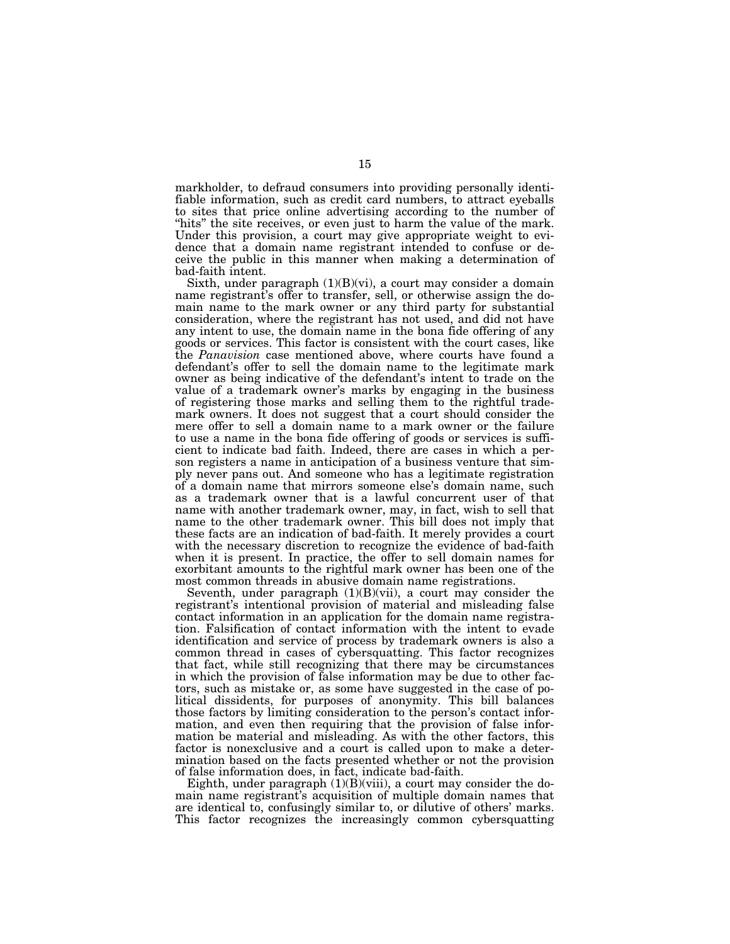markholder, to defraud consumers into providing personally identifiable information, such as credit card numbers, to attract eyeballs to sites that price online advertising according to the number of "hits" the site receives, or even just to harm the value of the mark. Under this provision, a court may give appropriate weight to evidence that a domain name registrant intended to confuse or deceive the public in this manner when making a determination of bad-faith intent.

Sixth, under paragraph  $(1)(B)(vi)$ , a court may consider a domain name registrant's offer to transfer, sell, or otherwise assign the domain name to the mark owner or any third party for substantial consideration, where the registrant has not used, and did not have any intent to use, the domain name in the bona fide offering of any goods or services. This factor is consistent with the court cases, like the *Panavision* case mentioned above, where courts have found a defendant's offer to sell the domain name to the legitimate mark owner as being indicative of the defendant's intent to trade on the value of a trademark owner's marks by engaging in the business of registering those marks and selling them to the rightful trademark owners. It does not suggest that a court should consider the mere offer to sell a domain name to a mark owner or the failure to use a name in the bona fide offering of goods or services is sufficient to indicate bad faith. Indeed, there are cases in which a person registers a name in anticipation of a business venture that simply never pans out. And someone who has a legitimate registration of a domain name that mirrors someone else's domain name, such as a trademark owner that is a lawful concurrent user of that name with another trademark owner, may, in fact, wish to sell that name to the other trademark owner. This bill does not imply that these facts are an indication of bad-faith. It merely provides a court with the necessary discretion to recognize the evidence of bad-faith when it is present. In practice, the offer to sell domain names for exorbitant amounts to the rightful mark owner has been one of the most common threads in abusive domain name registrations.

Seventh, under paragraph  $(1)(B)(vii)$ , a court may consider the registrant's intentional provision of material and misleading false contact information in an application for the domain name registration. Falsification of contact information with the intent to evade identification and service of process by trademark owners is also a common thread in cases of cybersquatting. This factor recognizes that fact, while still recognizing that there may be circumstances in which the provision of false information may be due to other factors, such as mistake or, as some have suggested in the case of political dissidents, for purposes of anonymity. This bill balances those factors by limiting consideration to the person's contact information, and even then requiring that the provision of false information be material and misleading. As with the other factors, this factor is nonexclusive and a court is called upon to make a determination based on the facts presented whether or not the provision of false information does, in fact, indicate bad-faith.

Eighth, under paragraph  $(1)(B)(viii)$ , a court may consider the domain name registrant's acquisition of multiple domain names that are identical to, confusingly similar to, or dilutive of others' marks. This factor recognizes the increasingly common cybersquatting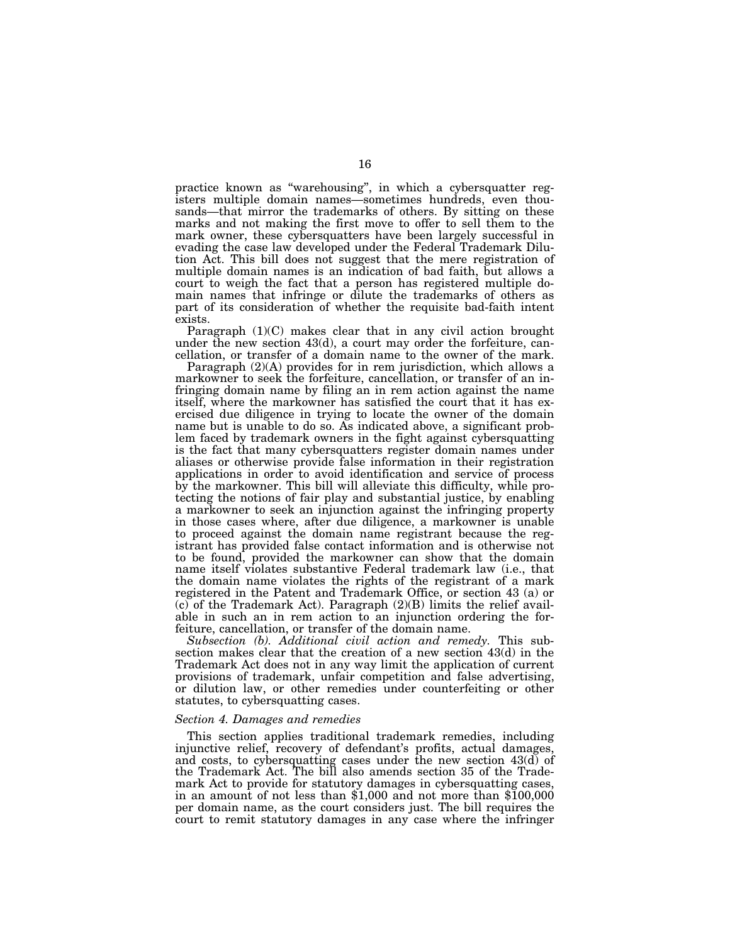practice known as ''warehousing'', in which a cybersquatter registers multiple domain names—sometimes hundreds, even thousands—that mirror the trademarks of others. By sitting on these marks and not making the first move to offer to sell them to the mark owner, these cybersquatters have been largely successful in evading the case law developed under the Federal Trademark Dilution Act. This bill does not suggest that the mere registration of multiple domain names is an indication of bad faith, but allows a court to weigh the fact that a person has registered multiple domain names that infringe or dilute the trademarks of others as part of its consideration of whether the requisite bad-faith intent exists.

Paragraph (1)(C) makes clear that in any civil action brought under the new section 43(d), a court may order the forfeiture, cancellation, or transfer of a domain name to the owner of the mark.

Paragraph (2)(A) provides for in rem jurisdiction, which allows a markowner to seek the forfeiture, cancellation, or transfer of an infringing domain name by filing an in rem action against the name itself, where the markowner has satisfied the court that it has exercised due diligence in trying to locate the owner of the domain name but is unable to do so. As indicated above, a significant problem faced by trademark owners in the fight against cybersquatting is the fact that many cybersquatters register domain names under aliases or otherwise provide false information in their registration applications in order to avoid identification and service of process by the markowner. This bill will alleviate this difficulty, while protecting the notions of fair play and substantial justice, by enabling a markowner to seek an injunction against the infringing property in those cases where, after due diligence, a markowner is unable to proceed against the domain name registrant because the registrant has provided false contact information and is otherwise not to be found, provided the markowner can show that the domain name itself violates substantive Federal trademark law (i.e., that the domain name violates the rights of the registrant of a mark registered in the Patent and Trademark Office, or section 43 (a) or (c) of the Trademark Act). Paragraph (2)(B) limits the relief available in such an in rem action to an injunction ordering the forfeiture, cancellation, or transfer of the domain name.

*Subsection (b). Additional civil action and remedy.* This subsection makes clear that the creation of a new section 43(d) in the Trademark Act does not in any way limit the application of current provisions of trademark, unfair competition and false advertising, or dilution law, or other remedies under counterfeiting or other statutes, to cybersquatting cases.

#### *Section 4. Damages and remedies*

This section applies traditional trademark remedies, including injunctive relief, recovery of defendant's profits, actual damages, and costs, to cybersquatting cases under the new section 43(d) of the Trademark Act. The bill also amends section 35 of the Trademark Act to provide for statutory damages in cybersquatting cases, in an amount of not less than \$1,000 and not more than \$100,000 per domain name, as the court considers just. The bill requires the court to remit statutory damages in any case where the infringer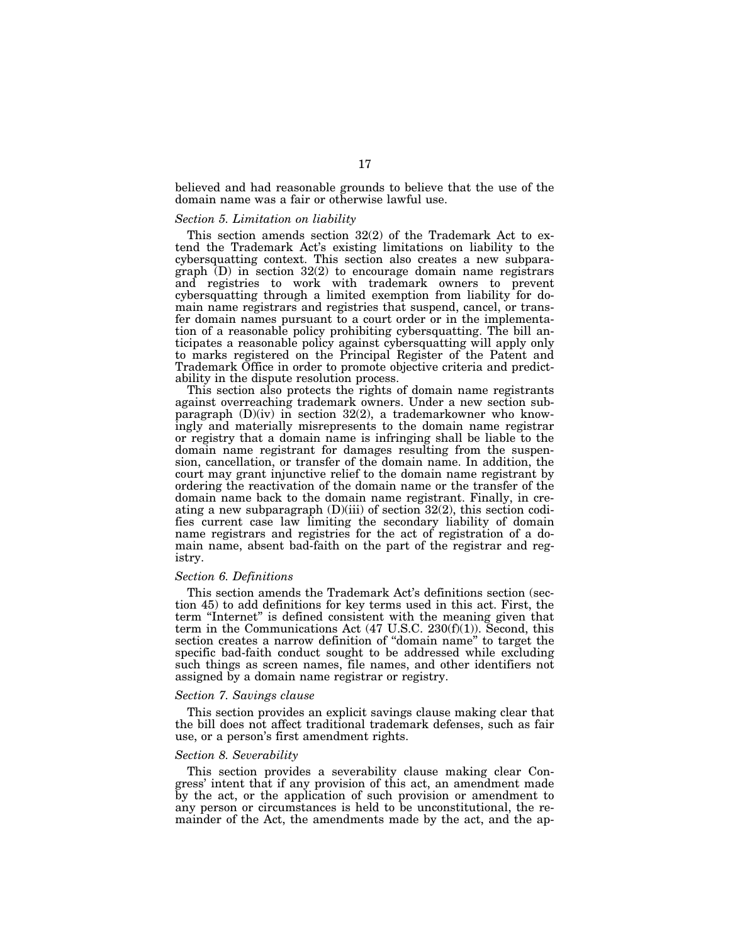believed and had reasonable grounds to believe that the use of the domain name was a fair or otherwise lawful use.

#### *Section 5. Limitation on liability*

This section amends section 32(2) of the Trademark Act to extend the Trademark Act's existing limitations on liability to the cybersquatting context. This section also creates a new subparagraph (D) in section 32(2) to encourage domain name registrars and registries to work with trademark owners to prevent cybersquatting through a limited exemption from liability for domain name registrars and registries that suspend, cancel, or transfer domain names pursuant to a court order or in the implementation of a reasonable policy prohibiting cybersquatting. The bill anticipates a reasonable policy against cybersquatting will apply only to marks registered on the Principal Register of the Patent and Trademark Office in order to promote objective criteria and predictability in the dispute resolution process.

This section also protects the rights of domain name registrants against overreaching trademark owners. Under a new section subparagraph (D)(iv) in section 32(2), a trademarkowner who knowingly and materially misrepresents to the domain name registrar or registry that a domain name is infringing shall be liable to the domain name registrant for damages resulting from the suspension, cancellation, or transfer of the domain name. In addition, the court may grant injunctive relief to the domain name registrant by ordering the reactivation of the domain name or the transfer of the domain name back to the domain name registrant. Finally, in creating a new subparagraph  $(D)(iii)$  of section 32(2), this section codifies current case law limiting the secondary liability of domain name registrars and registries for the act of registration of a domain name, absent bad-faith on the part of the registrar and registry.

### *Section 6. Definitions*

This section amends the Trademark Act's definitions section (section 45) to add definitions for key terms used in this act. First, the term "Internet" is defined consistent with the meaning given that term in the Communications Act (47 U.S.C. 230(f)(1)). Second, this section creates a narrow definition of ''domain name'' to target the specific bad-faith conduct sought to be addressed while excluding such things as screen names, file names, and other identifiers not assigned by a domain name registrar or registry.

### *Section 7. Savings clause*

This section provides an explicit savings clause making clear that the bill does not affect traditional trademark defenses, such as fair use, or a person's first amendment rights.

### *Section 8. Severability*

This section provides a severability clause making clear Congress' intent that if any provision of this act, an amendment made by the act, or the application of such provision or amendment to any person or circumstances is held to be unconstitutional, the remainder of the Act, the amendments made by the act, and the ap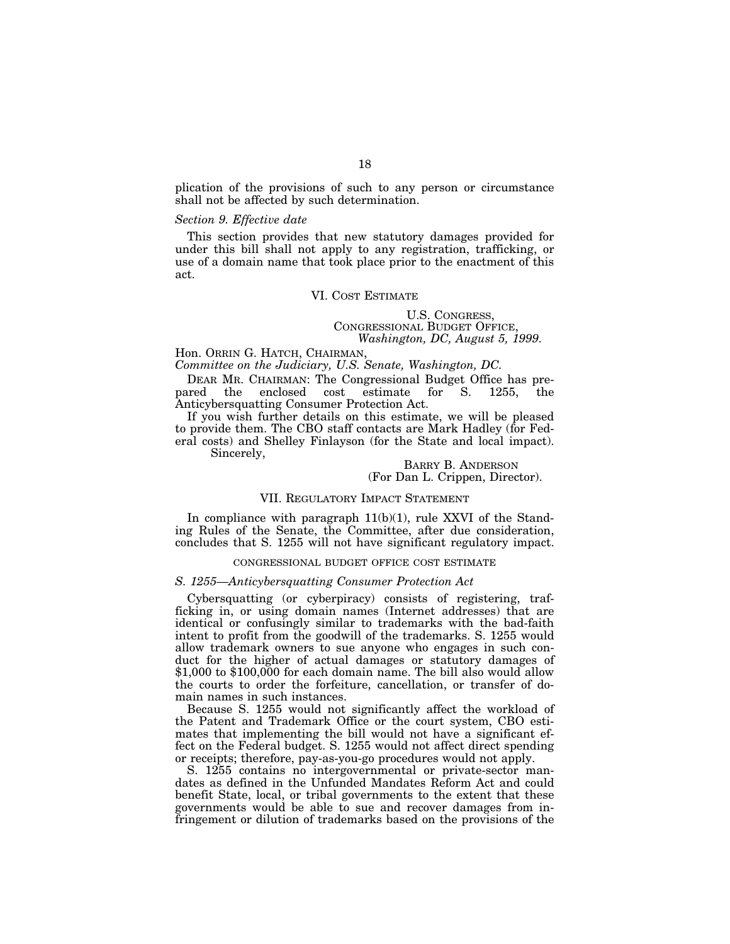plication of the provisions of such to any person or circumstance shall not be affected by such determination.

### *Section 9. Effective date*

This section provides that new statutory damages provided for under this bill shall not apply to any registration, trafficking, or use of a domain name that took place prior to the enactment of this act.

## VI. COST ESTIMATE

### U.S. CONGRESS, CONGRESSIONAL BUDGET OFFICE, *Washington, DC, August 5, 1999.*

Hon. ORRIN G. HATCH, CHAIRMAN,

*Committee on the Judiciary, U.S. Senate, Washington, DC.*

DEAR MR. CHAIRMAN: The Congressional Budget Office has pre-<br>red the enclosed cost estimate for S. 1255, the pared the enclosed cost estimate for S. 1255, the Anticybersquatting Consumer Protection Act.

If you wish further details on this estimate, we will be pleased to provide them. The CBO staff contacts are Mark Hadley (for Federal costs) and Shelley Finlayson (for the State and local impact). Sincerely,

> BARRY B. ANDERSON (For Dan L. Crippen, Director).

### VII. REGULATORY IMPACT STATEMENT

In compliance with paragraph  $11(b)(1)$ , rule XXVI of the Standing Rules of the Senate, the Committee, after due consideration, concludes that S. 1255 will not have significant regulatory impact.

### CONGRESSIONAL BUDGET OFFICE COST ESTIMATE

### *S. 1255—Anticybersquatting Consumer Protection Act*

Cybersquatting (or cyberpiracy) consists of registering, trafficking in, or using domain names (Internet addresses) that are identical or confusingly similar to trademarks with the bad-faith intent to profit from the goodwill of the trademarks. S. 1255 would allow trademark owners to sue anyone who engages in such conduct for the higher of actual damages or statutory damages of \$1,000 to \$100,000 for each domain name. The bill also would allow the courts to order the forfeiture, cancellation, or transfer of domain names in such instances.

Because S. 1255 would not significantly affect the workload of the Patent and Trademark Office or the court system, CBO estimates that implementing the bill would not have a significant effect on the Federal budget. S. 1255 would not affect direct spending or receipts; therefore, pay-as-you-go procedures would not apply.

S. 1255 contains no intergovernmental or private-sector mandates as defined in the Unfunded Mandates Reform Act and could benefit State, local, or tribal governments to the extent that these governments would be able to sue and recover damages from infringement or dilution of trademarks based on the provisions of the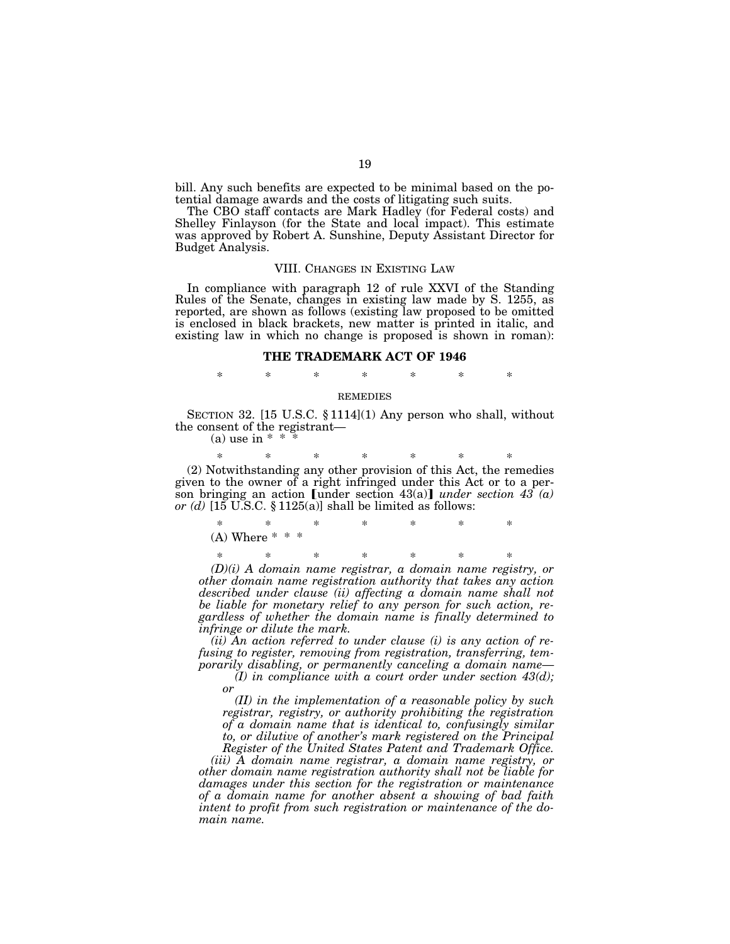bill. Any such benefits are expected to be minimal based on the potential damage awards and the costs of litigating such suits.

The CBO staff contacts are Mark Hadley (for Federal costs) and Shelley Finlayson (for the State and local impact). This estimate was approved by Robert A. Sunshine, Deputy Assistant Director for Budget Analysis.

### VIII. CHANGES IN EXISTING LAW

In compliance with paragraph 12 of rule XXVI of the Standing Rules of the Senate, changes in existing law made by S. 1255, as reported, are shown as follows (existing law proposed to be omitted is enclosed in black brackets, new matter is printed in italic, and existing law in which no change is proposed is shown in roman):

#### **THE TRADEMARK ACT OF 1946**

\* \* \* \* \* \* \*

### **REMEDIES**

SECTION 32. [15 U.S.C. § 1114](1) Any person who shall, without the consent of the registrant—

(a) use in  $^\ast$ 

# \* \* \* \* \* \* \*

(2) Notwithstanding any other provision of this Act, the remedies given to the owner of a right infringed under this Act or to a person bringing an action [under section 43(a)] *under section 43 (a) or (d)*  $[15 \text{ U.S.C. } $1125(a)]$  shall be limited as follows:

\* \* \* \* \* \* \* (A) Where  $* * *$ \* \* \* \* \* \* \*

*(D)(i) A domain name registrar, a domain name registry, or other domain name registration authority that takes any action described under clause (ii) affecting a domain name shall not be liable for monetary relief to any person for such action, regardless of whether the domain name is finally determined to infringe or dilute the mark.*

*(ii) An action referred to under clause (i) is any action of refusing to register, removing from registration, transferring, temporarily disabling, or permanently canceling a domain name—*

*(I) in compliance with a court order under section 43(d); or*

*(II) in the implementation of a reasonable policy by such registrar, registry, or authority prohibiting the registration of a domain name that is identical to, confusingly similar to, or dilutive of another's mark registered on the Principal Register of the United States Patent and Trademark Office.*

*(iii) A domain name registrar, a domain name registry, or other domain name registration authority shall not be liable for damages under this section for the registration or maintenance of a domain name for another absent a showing of bad faith intent to profit from such registration or maintenance of the domain name.*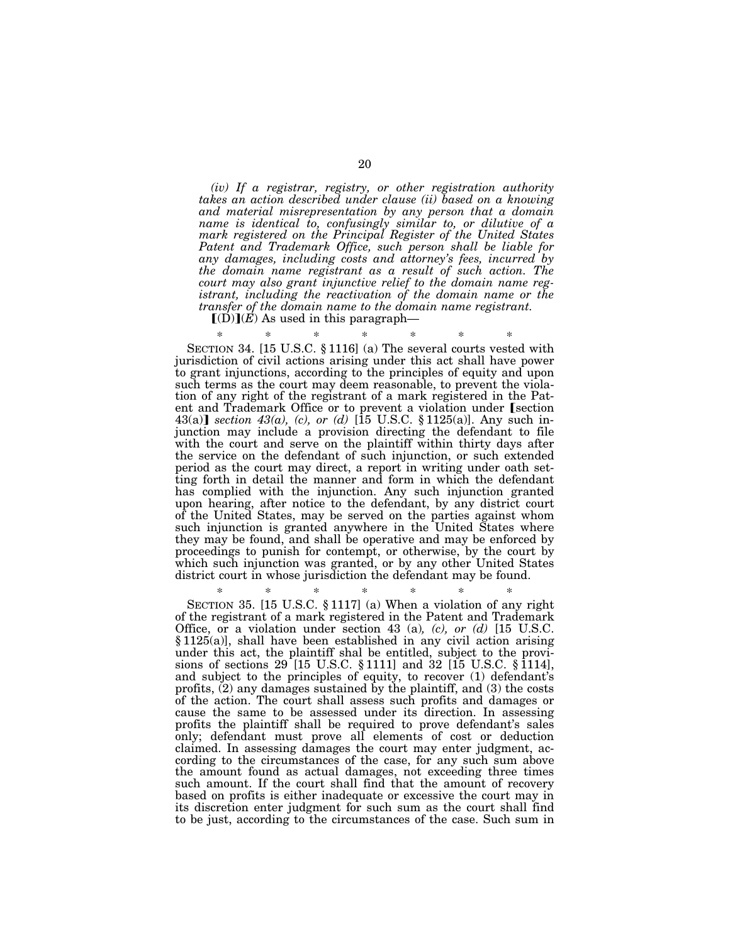*(iv) If a registrar, registry, or other registration authority takes an action described under clause (ii) based on a knowing and material misrepresentation by any person that a domain name is identical to, confusingly similar to, or dilutive of a mark registered on the Principal Register of the United States Patent and Trademark Office, such person shall be liable for any damages, including costs and attorney's fees, incurred by the domain name registrant as a result of such action. The court may also grant injunctive relief to the domain name registrant, including the reactivation of the domain name or the transfer of the domain name to the domain name registrant.*

 $[(D)](E)$  As used in this paragraph—

\* \* \* \* \* \* \* SECTION 34. [15 U.S.C. § 1116] (a) The several courts vested with jurisdiction of civil actions arising under this act shall have power to grant injunctions, according to the principles of equity and upon such terms as the court may deem reasonable, to prevent the violation of any right of the registrant of a mark registered in the Patent and Trademark Office or to prevent a violation under [section 43(a)¿ *section 43(a), (c), or (d)* [15 U.S.C. § 1125(a)]. Any such injunction may include a provision directing the defendant to file with the court and serve on the plaintiff within thirty days after the service on the defendant of such injunction, or such extended period as the court may direct, a report in writing under oath setting forth in detail the manner and form in which the defendant has complied with the injunction. Any such injunction granted upon hearing, after notice to the defendant, by any district court of the United States, may be served on the parties against whom such injunction is granted anywhere in the United States where they may be found, and shall be operative and may be enforced by proceedings to punish for contempt, or otherwise, by the court by which such injunction was granted, or by any other United States district court in whose jurisdiction the defendant may be found.

\* \* \* \* \* \* \* SECTION 35. [15 U.S.C. § 1117] (a) When a violation of any right of the registrant of a mark registered in the Patent and Trademark Office, or a violation under section 43 (a)*, (c), or (d)* [15 U.S.C. § 1125(a)], shall have been established in any civil action arising under this act, the plaintiff shal be entitled, subject to the provisions of sections  $29$  [15 U.S.C. § 1111] and  $32$  [15 U.S.C. § 1114], and subject to the principles of equity, to recover (1) defendant's profits, (2) any damages sustained by the plaintiff, and (3) the costs of the action. The court shall assess such profits and damages or cause the same to be assessed under its direction. In assessing profits the plaintiff shall be required to prove defendant's sales only; defendant must prove all elements of cost or deduction claimed. In assessing damages the court may enter judgment, according to the circumstances of the case, for any such sum above the amount found as actual damages, not exceeding three times

such amount. If the court shall find that the amount of recovery based on profits is either inadequate or excessive the court may in its discretion enter judgment for such sum as the court shall find to be just, according to the circumstances of the case. Such sum in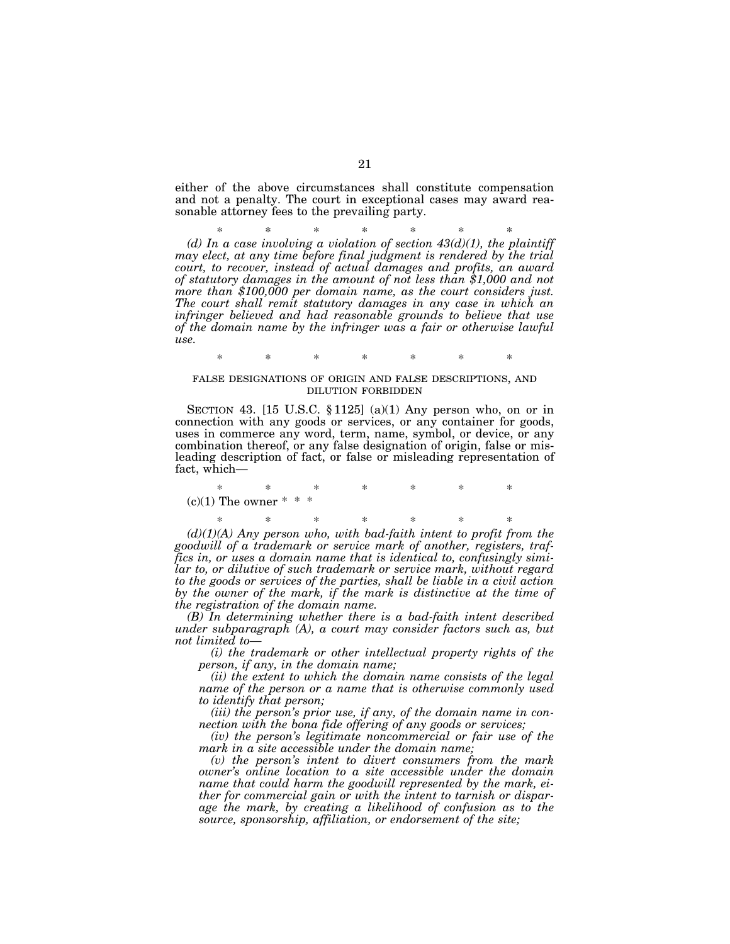either of the above circumstances shall constitute compensation and not a penalty. The court in exceptional cases may award reasonable attorney fees to the prevailing party.

\* \* \* \* \* \* \* *(d) In a case involving a violation of section 43(d)(1), the plaintiff may elect, at any time before final judgment is rendered by the trial court, to recover, instead of actual damages and profits, an award of statutory damages in the amount of not less than \$1,000 and not more than \$100,000 per domain name, as the court considers just. The court shall remit statutory damages in any case in which an infringer believed and had reasonable grounds to believe that use of the domain name by the infringer was a fair or otherwise lawful use.*

\* \* \* \* \* \* \*

### FALSE DESIGNATIONS OF ORIGIN AND FALSE DESCRIPTIONS, AND DILUTION FORBIDDEN

SECTION 43. [15 U.S.C.  $\S 1125$ ] (a)(1) Any person who, on or in connection with any goods or services, or any container for goods, uses in commerce any word, term, name, symbol, or device, or any combination thereof, or any false designation of origin, false or misleading description of fact, or false or misleading representation of fact, which—

\* \* \* \* \* \* \*  $(c)(1)$  The owner  $*$ \* \* \* \* \* \* \*

*(d)(1)(A) Any person who, with bad-faith intent to profit from the goodwill of a trademark or service mark of another, registers, traffics in, or uses a domain name that is identical to, confusingly similar to, or dilutive of such trademark or service mark, without regard to the goods or services of the parties, shall be liable in a civil action by the owner of the mark, if the mark is distinctive at the time of the registration of the domain name.*

*(B) In determining whether there is a bad-faith intent described under subparagraph (A), a court may consider factors such as, but not limited to—*

*(i) the trademark or other intellectual property rights of the person, if any, in the domain name;*

*(ii) the extent to which the domain name consists of the legal name of the person or a name that is otherwise commonly used to identify that person;*

*(iii) the person's prior use, if any, of the domain name in connection with the bona fide offering of any goods or services;*

*(iv) the person's legitimate noncommercial or fair use of the mark in a site accessible under the domain name;*

*(v) the person's intent to divert consumers from the mark owner's online location to a site accessible under the domain name that could harm the goodwill represented by the mark, either for commercial gain or with the intent to tarnish or disparage the mark, by creating a likelihood of confusion as to the source, sponsorship, affiliation, or endorsement of the site;*